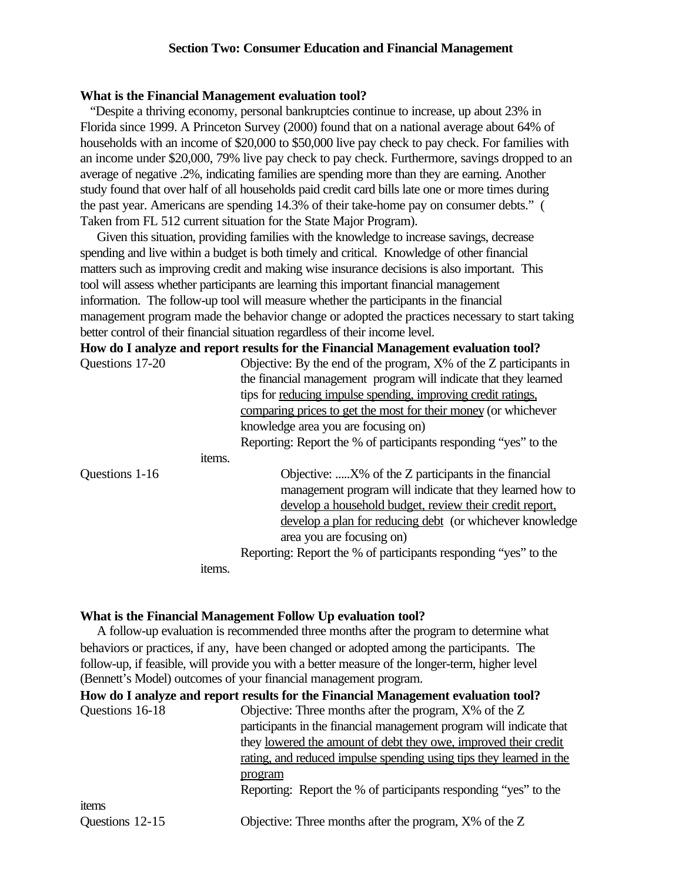### **Section Two: Consumer Education and Financial Management**

#### **What is the Financial Management evaluation tool?**

 "Despite a thriving economy, personal bankruptcies continue to increase, up about 23% in Florida since 1999. A Princeton Survey (2000) found that on a national average about 64% of households with an income of \$20,000 to \$50,000 live pay check to pay check. For families with an income under \$20,000, 79% live pay check to pay check. Furthermore, savings dropped to an average of negative .2%, indicating families are spending more than they are earning. Another study found that over half of all households paid credit card bills late one or more times during the past year. Americans are spending 14.3% of their take-home pay on consumer debts." ( Taken from FL 512 current situation for the State Major Program).

Given this situation, providing families with the knowledge to increase savings, decrease spending and live within a budget is both timely and critical. Knowledge of other financial matters such as improving credit and making wise insurance decisions is also important. This tool will assess whether participants are learning this important financial management information. The follow-up tool will measure whether the participants in the financial management program made the behavior change or adopted the practices necessary to start taking better control of their financial situation regardless of their income level.

**How do I analyze and report results for the Financial Management evaluation tool?**

| Questions 17-20 |        | Objective: By the end of the program, $X\%$ of the Z participants in |
|-----------------|--------|----------------------------------------------------------------------|
|                 |        | the financial management program will indicate that they learned     |
|                 |        | tips for <u>reducing</u> impulse spending, improving credit ratings, |
|                 |        | comparing prices to get the most for their money (or whichever       |
|                 |        | knowledge area you are focusing on)                                  |
|                 |        | Reporting: Report the % of participants responding "yes" to the      |
|                 | items. |                                                                      |
| Questions 1-16  |        | Objective: X% of the Z participants in the financial                 |
|                 |        | management program will indicate that they learned how to            |
|                 |        | develop a household budget, review their credit report,              |
|                 |        | develop a plan for reducing debt (or whichever knowledge             |
|                 |        | area you are focusing on)                                            |
|                 |        | Reporting: Report the % of participants responding "yes" to the      |
|                 | items. |                                                                      |
|                 |        |                                                                      |

#### **What is the Financial Management Follow Up evaluation tool?**

 A follow-up evaluation is recommended three months after the program to determine what behaviors or practices, if any, have been changed or adopted among the participants.The follow-up, if feasible, will provide you with a better measure of the longer-term, higher level (Bennett's Model) outcomes of your financial management program.

|                 | How do I analyze and report results for the Financial Management evaluation tool? |
|-----------------|-----------------------------------------------------------------------------------|
| Questions 16-18 | Objective: Three months after the program, X% of the Z                            |
|                 | participants in the financial management program will indicate that               |
|                 | they lowered the amount of debt they owe, improved their credit                   |
|                 | rating, and reduced impulse spending using tips they learned in the               |
|                 | program                                                                           |
|                 | Reporting: Report the % of participants responding "yes" to the                   |
| items           |                                                                                   |
| Questions 12-15 | Objective: Three months after the program, X% of the Z                            |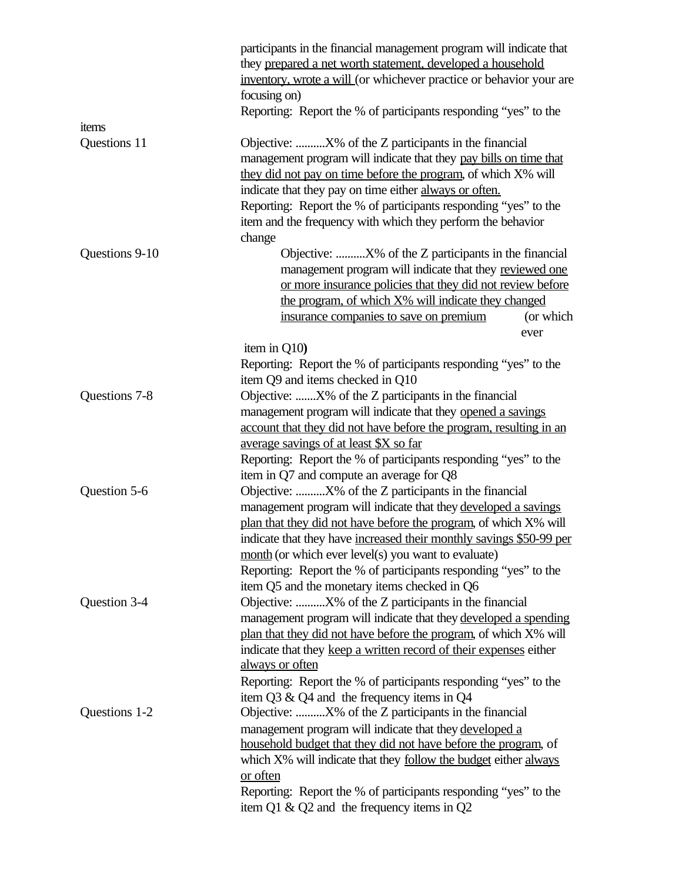|                | participants in the financial management program will indicate that<br>they prepared a net worth statement, developed a household       |
|----------------|-----------------------------------------------------------------------------------------------------------------------------------------|
|                | inventory, wrote a will (or whichever practice or behavior your are                                                                     |
|                | focusing on)<br>Reporting: Report the % of participants responding "yes" to the                                                         |
| items          |                                                                                                                                         |
| Questions 11   | Objective: $X\%$ of the Z participants in the financial                                                                                 |
|                | management program will indicate that they pay bills on time that                                                                       |
|                | they did not pay on time before the program, of which X% will                                                                           |
|                | indicate that they pay on time either always or often.                                                                                  |
|                | Reporting: Report the % of participants responding "yes" to the                                                                         |
|                | item and the frequency with which they perform the behavior                                                                             |
|                | change                                                                                                                                  |
| Questions 9-10 | Objective: X% of the Z participants in the financial                                                                                    |
|                | management program will indicate that they reviewed one                                                                                 |
|                | or more insurance policies that they did not review before                                                                              |
|                | the program, of which X% will indicate they changed                                                                                     |
|                | (or which<br>insurance companies to save on premium                                                                                     |
|                | ever                                                                                                                                    |
|                | item in Q10)                                                                                                                            |
|                | Reporting: Report the % of participants responding "yes" to the                                                                         |
|                | item Q9 and items checked in Q10                                                                                                        |
| Questions 7-8  | Objective: X% of the Z participants in the financial                                                                                    |
|                | management program will indicate that they opened a savings                                                                             |
|                | account that they did not have before the program, resulting in an                                                                      |
|                | average savings of at least \$X so far                                                                                                  |
|                | Reporting: Report the % of participants responding "yes" to the                                                                         |
|                | item in Q7 and compute an average for Q8                                                                                                |
| Question 5-6   | Objective: X% of the Z participants in the financial                                                                                    |
|                | management program will indicate that they developed a savings                                                                          |
|                | plan that they did not have before the program, of which X% will<br>indicate that they have increased their monthly savings \$50-99 per |
|                | month (or which ever level(s) you want to evaluate)                                                                                     |
|                | Reporting: Report the % of participants responding "yes" to the                                                                         |
|                | item Q5 and the monetary items checked in Q6                                                                                            |
| Question 3-4   | Objective: X% of the Z participants in the financial                                                                                    |
|                | management program will indicate that they developed a spending                                                                         |
|                | plan that they did not have before the program, of which X% will                                                                        |
|                | indicate that they keep a written record of their expenses either                                                                       |
|                | always or often                                                                                                                         |
|                | Reporting: Report the % of participants responding "yes" to the                                                                         |
|                | item Q3 & Q4 and the frequency items in Q4                                                                                              |
| Questions 1-2  | Objective: X% of the Z participants in the financial                                                                                    |
|                | management program will indicate that they developed a                                                                                  |
|                | household budget that they did not have before the program, of                                                                          |
|                | which X% will indicate that they follow the budget either always                                                                        |
|                | or often                                                                                                                                |
|                | Reporting: Report the % of participants responding "yes" to the                                                                         |
|                | item Q1 & Q2 and the frequency items in Q2                                                                                              |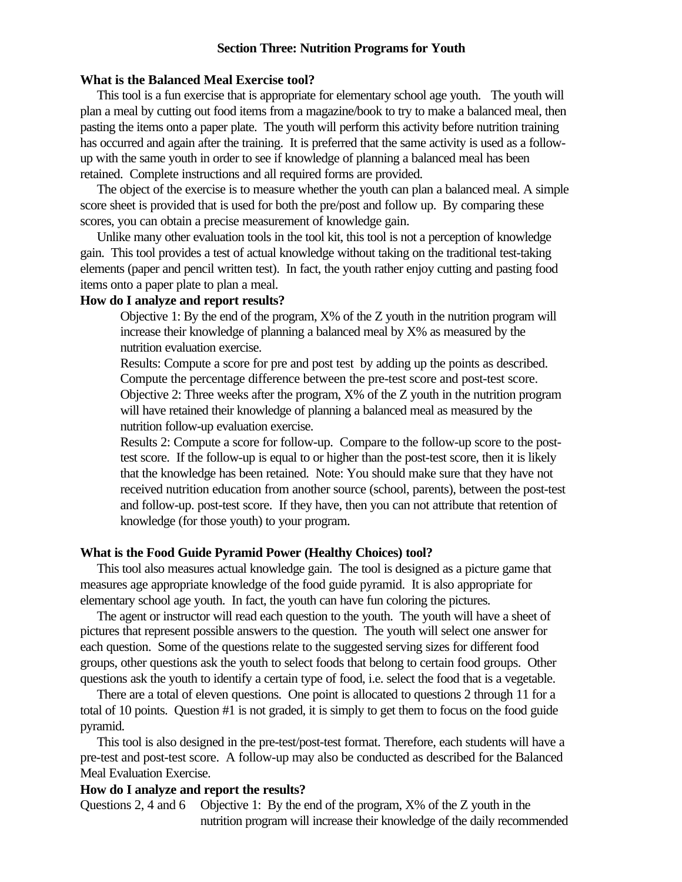## **Section Three: Nutrition Programs for Youth**

### **What is the Balanced Meal Exercise tool?**

 This tool is a fun exercise that is appropriate for elementary school age youth. The youth will plan a meal by cutting out food items from a magazine/book to try to make a balanced meal, then pasting the items onto a paper plate. The youth will perform this activity before nutrition training has occurred and again after the training. It is preferred that the same activity is used as a followup with the same youth in order to see if knowledge of planning a balanced meal has been retained. Complete instructions and all required forms are provided.

 The object of the exercise is to measure whether the youth can plan a balanced meal. A simple score sheet is provided that is used for both the pre/post and follow up. By comparing these scores, you can obtain a precise measurement of knowledge gain.

 Unlike many other evaluation tools in the tool kit, this tool is not a perception of knowledge gain. This tool provides a test of actual knowledge without taking on the traditional test-taking elements (paper and pencil written test). In fact, the youth rather enjoy cutting and pasting food items onto a paper plate to plan a meal.

## **How do I analyze and report results?**

Objective 1: By the end of the program, X% of the Z youth in the nutrition program will increase their knowledge of planning a balanced meal by X% as measured by the nutrition evaluation exercise.

Results: Compute a score for pre and post test by adding up the points as described. Compute the percentage difference between the pre-test score and post-test score. Objective 2: Three weeks after the program, X% of the Z youth in the nutrition program will have retained their knowledge of planning a balanced meal as measured by the nutrition follow-up evaluation exercise.

Results 2: Compute a score for follow-up. Compare to the follow-up score to the posttest score. If the follow-up is equal to or higher than the post-test score, then it is likely that the knowledge has been retained. Note: You should make sure that they have not received nutrition education from another source (school, parents), between the post-test and follow-up. post-test score. If they have, then you can not attribute that retention of knowledge (for those youth) to your program.

#### **What is the Food Guide Pyramid Power (Healthy Choices) tool?**

 This tool also measures actual knowledge gain. The tool is designed as a picture game that measures age appropriate knowledge of the food guide pyramid. It is also appropriate for elementary school age youth. In fact, the youth can have fun coloring the pictures.

 The agent or instructor will read each question to the youth. The youth will have a sheet of pictures that represent possible answers to the question. The youth will select one answer for each question. Some of the questions relate to the suggested serving sizes for different food groups, other questions ask the youth to select foods that belong to certain food groups. Other questions ask the youth to identify a certain type of food, i.e. select the food that is a vegetable.

 There are a total of eleven questions. One point is allocated to questions 2 through 11 for a total of 10 points. Question #1 is not graded, it is simply to get them to focus on the food guide pyramid.

 This tool is also designed in the pre-test/post-test format. Therefore, each students will have a pre-test and post-test score. A follow-up may also be conducted as described for the Balanced Meal Evaluation Exercise.

### **How do I analyze and report the results?**

Questions 2, 4 and 6 Objective 1: By the end of the program, X% of the Z youth in the nutrition program will increase their knowledge of the daily recommended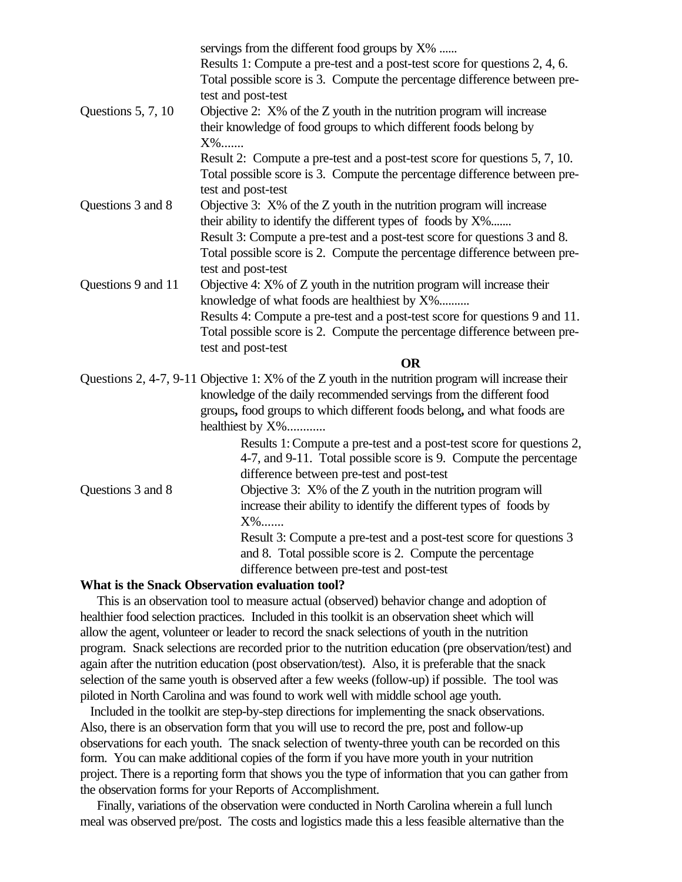|                    | servings from the different food groups by X%<br>Results 1: Compute a pre-test and a post-test score for questions 2, 4, 6.<br>Total possible score is 3. Compute the percentage difference between pre-<br>test and post-test                                           |
|--------------------|--------------------------------------------------------------------------------------------------------------------------------------------------------------------------------------------------------------------------------------------------------------------------|
| Questions 5, 7, 10 | Objective 2: $X\%$ of the Z youth in the nutrition program will increase<br>their knowledge of food groups to which different foods belong by<br>X%                                                                                                                      |
|                    | Result 2: Compute a pre-test and a post-test score for questions 5, 7, 10.<br>Total possible score is 3. Compute the percentage difference between pre-<br>test and post-test                                                                                            |
| Questions 3 and 8  | Objective 3: X% of the Z youth in the nutrition program will increase<br>their ability to identify the different types of foods by X%                                                                                                                                    |
|                    | Result 3: Compute a pre-test and a post-test score for questions 3 and 8.<br>Total possible score is 2. Compute the percentage difference between pre-<br>test and post-test                                                                                             |
| Questions 9 and 11 | Objective $4: X\%$ of $Z$ youth in the nutrition program will increase their<br>knowledge of what foods are healthiest by X%                                                                                                                                             |
|                    | Results 4: Compute a pre-test and a post-test score for questions 9 and 11.<br>Total possible score is 2. Compute the percentage difference between pre-<br>test and post-test                                                                                           |
|                    | <b>OR</b>                                                                                                                                                                                                                                                                |
|                    | Questions 2, 4-7, 9-11 Objective 1: X% of the Z youth in the nutrition program will increase their<br>knowledge of the daily recommended servings from the different food<br>groups, food groups to which different foods belong, and what foods are<br>healthiest by X% |
|                    | Results 1: Compute a pre-test and a post-test score for questions 2,<br>4-7, and 9-11. Total possible score is 9. Compute the percentage<br>difference between pre-test and post-test                                                                                    |
| Questions 3 and 8  | Objective 3: X% of the Z youth in the nutrition program will<br>increase their ability to identify the different types of foods by<br>$X\%$                                                                                                                              |
|                    | Result 3: Compute a pre-test and a post-test score for questions 3<br>and 8. Total possible score is 2. Compute the percentage<br>difference between pre-test and post-test                                                                                              |
|                    |                                                                                                                                                                                                                                                                          |

## **What is the Snack Observation evaluation tool?**

 This is an observation tool to measure actual (observed) behavior change and adoption of healthier food selection practices. Included in this toolkit is an observation sheet which will allow the agent, volunteer or leader to record the snack selections of youth in the nutrition program. Snack selections are recorded prior to the nutrition education (pre observation/test) and again after the nutrition education (post observation/test). Also, it is preferable that the snack selection of the same youth is observed after a few weeks (follow-up) if possible. The tool was piloted in North Carolina and was found to work well with middle school age youth.

 Included in the toolkit are step-by-step directions for implementing the snack observations. Also, there is an observation form that you will use to record the pre, post and follow-up observations for each youth. The snack selection of twenty-three youth can be recorded on this form. You can make additional copies of the form if you have more youth in your nutrition project. There is a reporting form that shows you the type of information that you can gather from the observation forms for your Reports of Accomplishment.

 Finally, variations of the observation were conducted in North Carolina wherein a full lunch meal was observed pre/post. The costs and logistics made this a less feasible alternative than the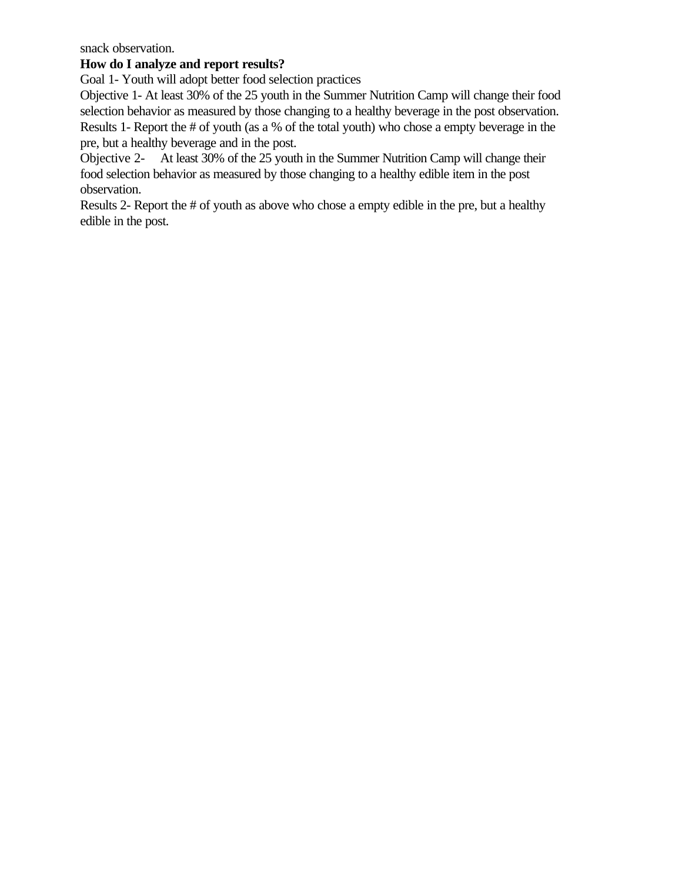snack observation.

# **How do I analyze and report results?**

Goal 1- Youth will adopt better food selection practices

Objective 1- At least 30% of the 25 youth in the Summer Nutrition Camp will change their food selection behavior as measured by those changing to a healthy beverage in the post observation. Results 1- Report the # of youth (as a % of the total youth) who chose a empty beverage in the pre, but a healthy beverage and in the post.

Objective 2- At least 30% of the 25 youth in the Summer Nutrition Camp will change their food selection behavior as measured by those changing to a healthy edible item in the post observation.

Results 2- Report the # of youth as above who chose a empty edible in the pre, but a healthy edible in the post.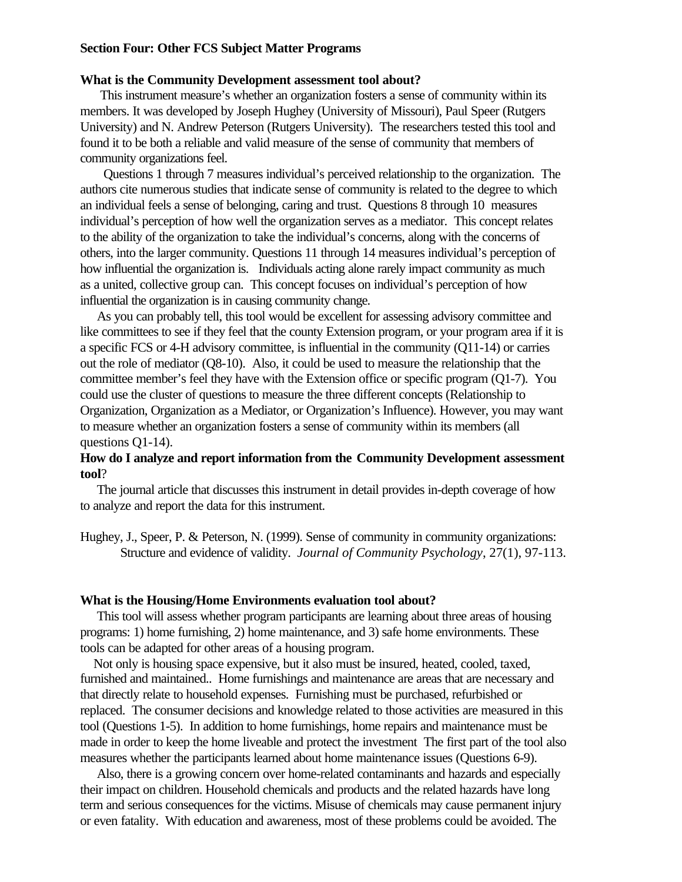### **Section Four: Other FCS Subject Matter Programs**

## **What is the Community Development assessment tool about?**

 This instrument measure's whether an organization fosters a sense of community within its members. It was developed by Joseph Hughey (University of Missouri), Paul Speer (Rutgers University) and N. Andrew Peterson (Rutgers University). The researchers tested this tool and found it to be both a reliable and valid measure of the sense of community that members of community organizations feel.

 Questions 1 through 7 measures individual's perceived relationship to the organization. The authors cite numerous studies that indicate sense of community is related to the degree to which an individual feels a sense of belonging, caring and trust. Questions 8 through 10 measures individual's perception of how well the organization serves as a mediator. This concept relates to the ability of the organization to take the individual's concerns, along with the concerns of others, into the larger community. Questions 11 through 14 measures individual's perception of how influential the organization is. Individuals acting alone rarely impact community as much as a united, collective group can. This concept focuses on individual's perception of how influential the organization is in causing community change.

 As you can probably tell, this tool would be excellent for assessing advisory committee and like committees to see if they feel that the county Extension program, or your program area if it is a specific FCS or 4-H advisory committee, is influential in the community (Q11-14) or carries out the role of mediator (Q8-10). Also, it could be used to measure the relationship that the committee member's feel they have with the Extension office or specific program (Q1-7). You could use the cluster of questions to measure the three different concepts (Relationship to Organization, Organization as a Mediator, or Organization's Influence). However, you may want to measure whether an organization fosters a sense of community within its members (all questions O1-14).

### **How do I analyze and report information from the Community Development assessment tool**?

 The journal article that discusses this instrument in detail provides in-depth coverage of how to analyze and report the data for this instrument.

Hughey, J., Speer, P. & Peterson, N. (1999). Sense of community in community organizations: Structure and evidence of validity. *Journal of Community Psychology*, 27(1), 97-113.

#### **What is the Housing/Home Environments evaluation tool about?**

 This tool will assess whether program participants are learning about three areas of housing programs: 1) home furnishing, 2) home maintenance, and 3) safe home environments. These tools can be adapted for other areas of a housing program.

 Not only is housing space expensive, but it also must be insured, heated, cooled, taxed, furnished and maintained.. Home furnishings and maintenance are areas that are necessary and that directly relate to household expenses. Furnishing must be purchased, refurbished or replaced. The consumer decisions and knowledge related to those activities are measured in this tool (Questions 1-5). In addition to home furnishings, home repairs and maintenance must be made in order to keep the home liveable and protect the investment The first part of the tool also measures whether the participants learned about home maintenance issues (Questions 6-9).

 Also, there is a growing concern over home-related contaminants and hazards and especially their impact on children. Household chemicals and products and the related hazards have long term and serious consequences for the victims. Misuse of chemicals may cause permanent injury or even fatality. With education and awareness, most of these problems could be avoided. The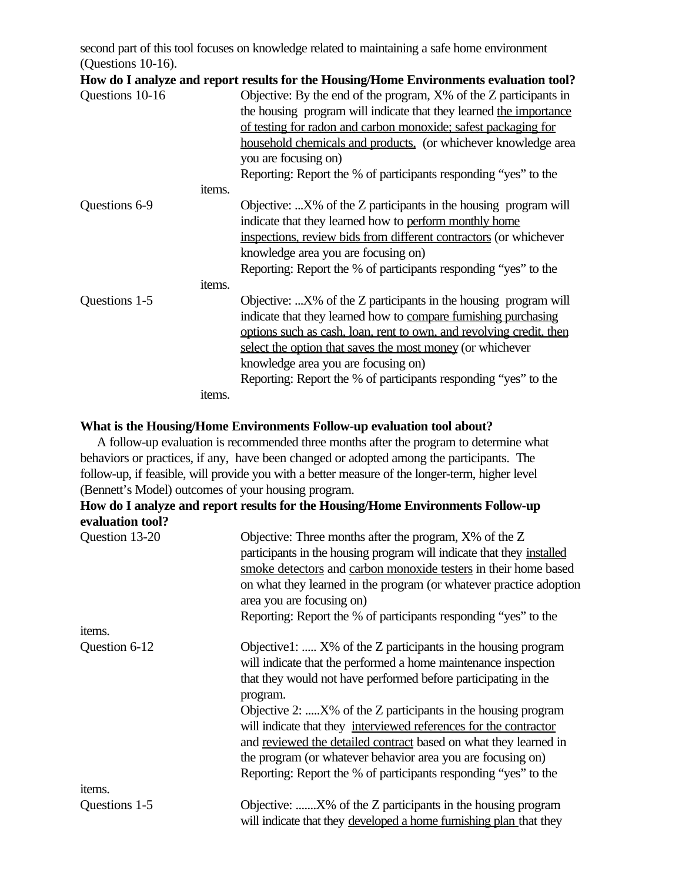second part of this tool focuses on knowledge related to maintaining a safe home environment (Questions 10-16).

|                 |        | How do I analyze and report results for the Housing/Home Environments evaluation tool? |
|-----------------|--------|----------------------------------------------------------------------------------------|
| Questions 10-16 |        | Objective: By the end of the program, X% of the Z participants in                      |
|                 |        | the housing program will indicate that they learned the importance                     |
|                 |        | of testing for radon and carbon monoxide; safest packaging for                         |
|                 |        | household chemicals and products, (or whichever knowledge area                         |
|                 |        | you are focusing on)                                                                   |
|                 |        | Reporting: Report the % of participants responding "yes" to the                        |
|                 | items. |                                                                                        |
| Questions 6-9   |        | Objective: $X\%$ of the Z participants in the housing program will                     |
|                 |        | indicate that they learned how to perform monthly home                                 |
|                 |        | inspections, review bids from different contractors (or whichever                      |
|                 |        | knowledge area you are focusing on)                                                    |
|                 |        | Reporting: Report the % of participants responding "yes" to the                        |
|                 | items. |                                                                                        |
| Questions 1-5   |        | Objective: $X\%$ of the Z participants in the housing program will                     |
|                 |        | indicate that they learned how to compare furnishing purchasing                        |
|                 |        | options such as cash, loan, rent to own, and revolving credit, then                    |
|                 |        | select the option that saves the most money (or whichever                              |
|                 |        | knowledge area you are focusing on)                                                    |
|                 |        | Reporting: Report the % of participants responding "yes" to the                        |
|                 | items. |                                                                                        |

### **What is the Housing/Home Environments Follow-up evaluation tool about?**

 A follow-up evaluation is recommended three months after the program to determine what behaviors or practices, if any, have been changed or adopted among the participants.The follow-up, if feasible, will provide you with a better measure of the longer-term, higher level (Bennett's Model) outcomes of your housing program.

# **How do I analyze and report results for the Housing/Home Environments Follow-up evaluation tool?**

| Question 13-20 | Objective: Three months after the program, $X\%$ of the Z<br>participants in the housing program will indicate that they installed<br>smoke detectors and carbon monoxide testers in their home based<br>on what they learned in the program (or whatever practice adoption<br>area you are focusing on)<br>Reporting: Report the % of participants responding "yes" to the                                                                                                                                                                             |
|----------------|---------------------------------------------------------------------------------------------------------------------------------------------------------------------------------------------------------------------------------------------------------------------------------------------------------------------------------------------------------------------------------------------------------------------------------------------------------------------------------------------------------------------------------------------------------|
| items.         |                                                                                                                                                                                                                                                                                                                                                                                                                                                                                                                                                         |
| Question 6-12  | Objective1:  X% of the Z participants in the housing program<br>will indicate that the performed a home maintenance inspection<br>that they would not have performed before participating in the<br>program.<br>Objective 2: X% of the Z participants in the housing program<br>will indicate that they interviewed references for the contractor<br>and reviewed the detailed contract based on what they learned in<br>the program (or whatever behavior area you are focusing on)<br>Reporting: Report the % of participants responding "yes" to the |
| items.         |                                                                                                                                                                                                                                                                                                                                                                                                                                                                                                                                                         |
| Questions 1-5  | Objective: X% of the Z participants in the housing program<br>will indicate that they developed a home furnishing plan that they                                                                                                                                                                                                                                                                                                                                                                                                                        |